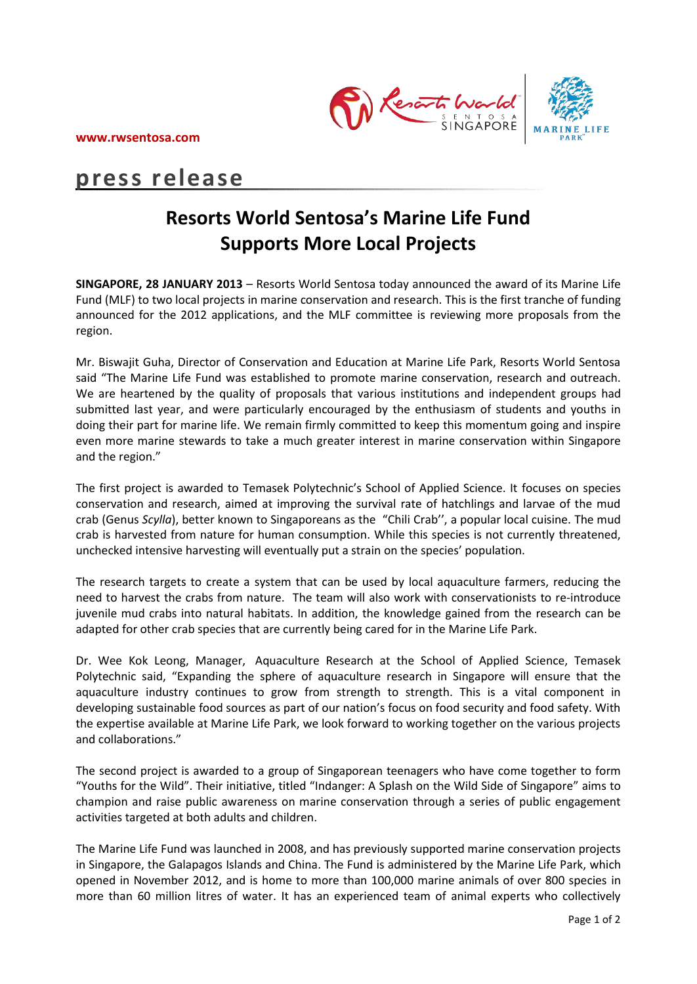

# **press release**

# **Resorts World Sentosa's Marine Life Fund Supports More Local Projects**

**SINGAPORE, 28 JANUARY 2013** – Resorts World Sentosa today announced the award of its Marine Life Fund (MLF) to two local projects in marine conservation and research. This is the first tranche of funding announced for the 2012 applications, and the MLF committee is reviewing more proposals from the region.

Mr. Biswajit Guha, Director of Conservation and Education at Marine Life Park, Resorts World Sentosa said "The Marine Life Fund was established to promote marine conservation, research and outreach. We are heartened by the quality of proposals that various institutions and independent groups had submitted last year, and were particularly encouraged by the enthusiasm of students and youths in doing their part for marine life. We remain firmly committed to keep this momentum going and inspire even more marine stewards to take a much greater interest in marine conservation within Singapore and the region."

The first project is awarded to Temasek Polytechnic's School of Applied Science. It focuses on species conservation and research, aimed at improving the survival rate of hatchlings and larvae of the mud crab (Genus *Scylla*), better known to Singaporeans as the "Chili Crab'', a popular local cuisine. The mud crab is harvested from nature for human consumption. While this species is not currently threatened, unchecked intensive harvesting will eventually put a strain on the species' population.

The research targets to create a system that can be used by local aquaculture farmers, reducing the need to harvest the crabs from nature. The team will also work with conservationists to re-introduce juvenile mud crabs into natural habitats. In addition, the knowledge gained from the research can be adapted for other crab species that are currently being cared for in the Marine Life Park.

Dr. Wee Kok Leong, Manager, Aquaculture Research at the School of Applied Science, Temasek Polytechnic said, "Expanding the sphere of aquaculture research in Singapore will ensure that the aquaculture industry continues to grow from strength to strength. This is a vital component in developing sustainable food sources as part of our nation's focus on food security and food safety. With the expertise available at Marine Life Park, we look forward to working together on the various projects and collaborations."

The second project is awarded to a group of Singaporean teenagers who have come together to form "Youths for the Wild". Their initiative, titled "Indanger: A Splash on the Wild Side of Singapore" aims to champion and raise public awareness on marine conservation through a series of public engagement activities targeted at both adults and children.

The Marine Life Fund was launched in 2008, and has previously supported marine conservation projects in Singapore, the Galapagos Islands and China. The Fund is administered by the Marine Life Park, which opened in November 2012, and is home to more than 100,000 marine animals of over 800 species in more than 60 million litres of water. It has an experienced team of animal experts who collectively